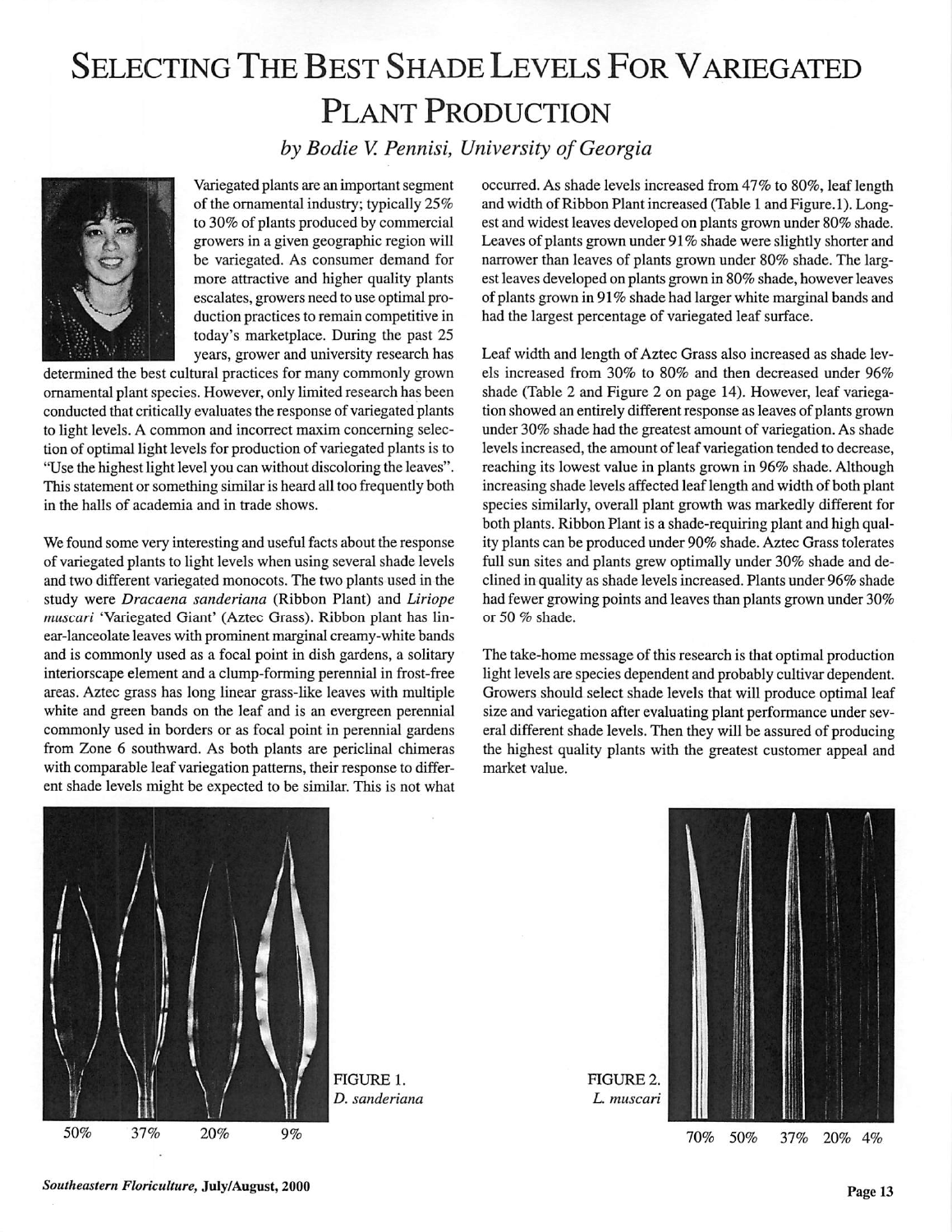## SELECTING THE BEST SHADE LEVELS FOR VARIEGATED PLANT PRODUCTION

**by Bodie V Pennisi, University ofGeorgia**



Variegated plants are an important segment of the ornamental industry; typically 25% to 30% of plants produced by commercial growers in a given geographic region will be variegated. As consumer demand for more attractive and higher quality plants escalates, growers need to use optimal pro duction practices to remain competitive in today's marketplace. During the past 25 years, grower and university research has

determined the best cultural practices for many commonly grown ornamental plant species. However, only limited research has been conducted that critically evaluates the response of variegated plants to light levels. A common and incorrect maxim concerning selec tion of optimal light levels for production of variegated plants is to "Use the highest light level you can without discoloring the leaves". This statement or something similar is heard all too frequently both in the halls of academia and in trade shows.

We found some very interesting and useful facts about the response of variegated plants to light levels when using several shade levels and two different variegated monocots. The two plants used in the study were **Dracaena sanderiana** (Ribbon Plant) and **Liriope muscari** 'Variegated Giant' (Aztec Grass). Ribbon plant has lin ear-lanceolate leaves with prominent marginal creamy-white bands and is commonly used as a focal point in dish gardens, a solitary interiorscape element and a clump-forming perennial in frost-free areas. Aztec grass has long linear grass-like leaves with multiple white and green bands on the leaf and is an evergreen perennial commonly used in borders or as focal point in perennial gardens from Zone 6 southward. As both plants are periclinal chimeras with comparable leaf variegation patterns, their response to differ ent shade levels might be expected to be similar. This is not what

occurred. As shade levels increased from 47% to 80%, leaf length and width of Ribbon Plant increased (Table 1 and Figure. 1). Long est and widest leaves developed on plants grown under 80% shade. Leaves of plants grown under 91% shade were slightly shorter and narrower than leaves of plants grown under 80% shade. The larg est leaves developed on plants grown in 80% shade, however leaves of plants grown in 91% shade had larger white marginal bands and had the largest percentage of variegated leaf surface.

Leaf width and length of Aztec Grass also increased as shade levels increased from 30% to 80% and then decreased under 96% shade (Table 2 and Figure 2 on page 14). However, leaf variega tion showed an entirely different response as leaves of plants grown under 30% shade had the greatest amount of variegation. As shade levels increased, the amount of leaf variegation tended to decrease, reaching its lowest value in plants grown in 96% shade. Although increasing shade levels affected leaf length and width of both plant species similarly, overall plant growth was markedly different for both plants. Ribbon Plant is a shade-requiring plant and high qual ity plants can be produced under 90% shade. Aztec Grass tolerates full sun sites and plants grew optimally under 30% shade and de clined in quality as shade levels increased. Plants under 96% shade had fewer growing points and leaves than plants grown under 30% or 50 % shade.

The take-home message of this research is that optimal production light levels are species dependent and probably cultivar dependent. Growers should select shade levels that will produce optimal leaf size and variegation after evaluating plant performance under sev eral different shade levels. Then they will be assured of producing the highest quality plants with the greatest customer appeal and market value.



FIGURE 1. **D. sanderiana**



**Southeastern Floriculture,** July/August, 2000